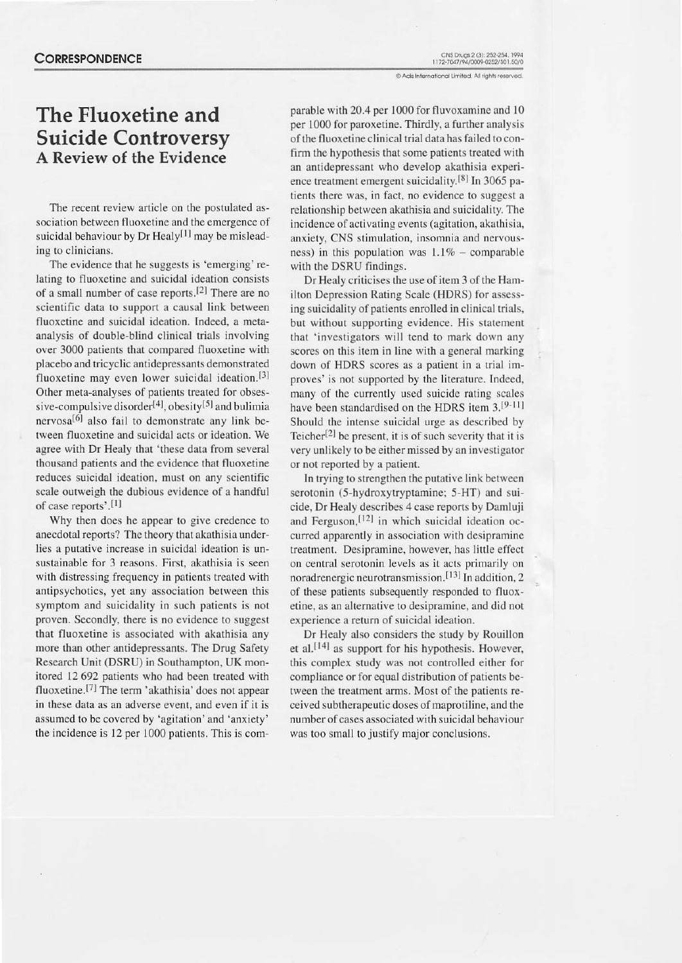# **CORRESPONDENCE**

# The Fluoxetine and Suicide Controversy A Review of the Evidence

The recent review article on the postulated association between fluoxetine and the emergence of suicidal behaviour by Dr Healy<sup>[1]</sup> may be misleading to clinicians.

The evidence that he suggests is 'emerging' re-Iating to fluoxetine and suicidal ideation consists of a small number of case reports.<sup>[2]</sup> There are no scientific data to support a causal link between fluoxetine and suicidal ideation. Indeed, a metaanalysis of double-blind clinical trials involving over 3000 patients that compared fluoxetine with placebo and tricyclic antidepressants demonstrated fluoxetine may even lower suicidal ideation.<sup>[3]</sup> Other meta-analyses of patients treated for obses sive-compulsive disorder<sup>[4]</sup>, obesity<sup>[5]</sup> and bulimia nervosa<sup>[6]</sup> also fail to demonstrate any link between fluoxetine and suicidal acts or ideation. We agree with Dr Healy that 'these data from several thousand patients and the evidence that fluoxetine reduces suicidal ideation, must on any scientific scale outweigh the dubious evidence of a handful of case reports'.<sup>[1]</sup>

Why then does he appear to give credence to anecdotal reports? The theory that akathisia underlies a putative increase in suicidal ideation is unsustainable for 3 reasons. First, akathisia is seen with distressing frequency in parients treared with antipsychotics, yet any association between this symptom and suicidality in such patients is not proven. Secondly, there is no evidence to suggest that fluoxetine is associated with akathisia any more than other antidepressants. The Drug Safety Research Unit (DSRU) in Southampton, UK monitored 12 692 patients who had been treated with fluoxetine.<sup>[7]</sup> The term 'akathisia' does not appear in these data as an adverse event, and even if it is assumed to be covered by 'agitation' and 'anxiety' the incidence is  $12$  per  $1000$  patients. This is comparable with 20.4 per 1000 for fluvoxamine and 10 per 1000 for paroxetine. Thirdly, a further analysis of the fluoxetine clinical trial data has failed to confirm the hypothesis that some patients treared with an antidepressant who develop akathisia experience treatment emergent suicidality.<sup>[8]</sup> In 3065 patients there was, in fact, no evidence to suggest a relationship between akathisia and suicidality. The incidence of activating events (agitation, akathisia, anxiety, CNS stimulation, insomnia and nervousness) in this population was  $1.1\%$  - comparable with the DSRU findings.

Dr Healy criticises the use of item 3 of the Hamilton Depression Rating Scale (HDRS) for assessing suicidality of patients enrolled in clinical trials, but without supporting evidence. His stalement that 'investigators will tend to mark down any scores on this item in line with a general marking down of HDRS scores as a patient in a trial improves'is not supported by the literature. Indecd. many of the currently used suicide rating scales have been standardised on the HDRS item  $3.[9-11]$ Should the intense suicidal urge as described by Teicher<sup>[2]</sup> be present, it is of such severity that it is very unlikely to be either missed by an investigator or not reported by a patient.

In trying to strengthen the pulative Iink between serotonin (5-hydroxytryptamine; 5-HT) and suicide, Dr Healy describes 4 case reports by Damluji and Ferguson,<sup>[12]</sup> in which suicidal ideation occurred apparently in association with desipramine treatment. Desipramine, however, has little effect on central serotonin levels as it acts primarily on noradrenergic neurotransmission.<sup>[13]</sup> In addition, 2 of these patients subsequently responded to fluoxetine, as an alternative to desipramine, and did not experience a retum of suicidal ideation.

Dr Healy also considers the study by Rouillon et al.<sup>[14]</sup> as support for his hypothesis. However, this complex study was not controlled either for compliance or for equal distribution of patients between the treatment arms. Most of the patients received subtherapeutic doses of maprotiline, and the number of cases associated with suicidal behaviour was too small to justify major conclusions.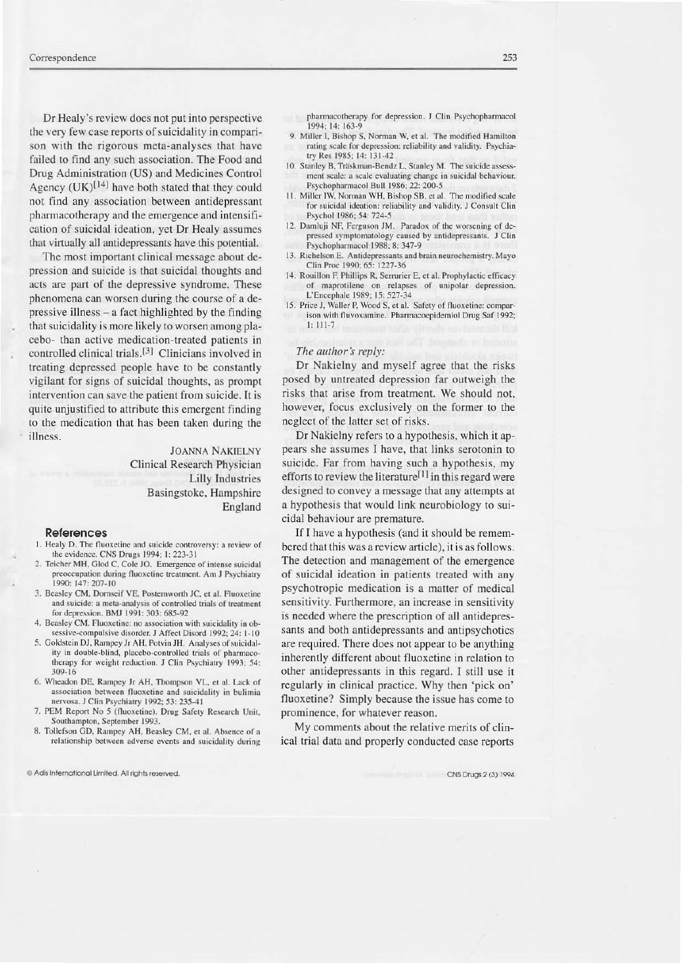Dr Healy's review does not put into perspective the very few case reports of suicidality in comparison with the rigorous meta-analyses that have failed to find any such association. The Food and Drug Administration (US) and Medicines Control Agency  $(UK)^{[14]}$  have both stated that they could not find any association between antidepressant pharmacotherapy and the emergence and intensification of suicidal ideation, yet Dr Healy assumes that virtually all antidepressants have this potential.

The most important clinical message about depression and suicide is that suicidal thoughts and acts are part of the depressive syndrome. These phenomena can worsen during the course of a depressive illness – a fact highlighted by the finding that suicidality is more likely to worsen among placebo- than active medication-treated patients in controlled clinical trials.<sup>[3]</sup> Clinicians involved in treating depressed people have to be constantly vigilant for signs of suicidal thoughts, as prompt intervention can save the patient from suicide. It is quite unjustified to attribute this emergent finding to the medication that has been taken during the illness.

> **JOANNA NAKIELNY** Clinical Research Physician **Lilly Industries** Basingstoke, Hampshire England

#### **References**

- 1. Healy D. The fluoxetine and suicide controversy: a review of the evidence. CNS Drugs 1994; 1: 223-31
- Teicher MH, Glod C, Cole JO. Emergence of intense suicidal preoccupation during fluoxetine treatment. Am J Psychiatry 1990: 147: 207-10
- 3. Beasley CM, Dornseif VE, Postemworth JC, et al. Fluoxetine and suicide: a meta-analysis of controlled trials of treatment for depression. BMJ 1991: 303: 685-92
- 4. Beasley CM. Fluoxetine: no association with suicidality in obsessive-compulsive disorder. J Affect Disord 1992; 24: 1-10
- 5. Goldstein DJ, Rampey Jr AH, Potvin JH. Analyses of suicidality in double-blind, placebo-controlled trials of pharmacotherapy for weight reduction. J Clin Psychiatry 1993; 54:  $309 - 16$
- 6. Wheadon DE, Rampey Jr AH, Thompson VL, et al. Lack of association between fluoxetine and suicidality in bulimia nervosa. J Clin Psychiatry 1992; 53: 235-41
- 7. PEM Report No 5 (fluoxetine). Drug Safety Research Unit, Southampton, September 1993.
- 8. Tollefson GD, Rampey AH, Beasley CM, et al. Absence of a relationship between adverse events and suicidality during

@ Adis International Limited. All rights reserved

pharmacotherapy for depression. J Clin Psychopharmacol 1994; 14: 163-9

- 9. Miller I, Bishop S, Norman W, et al. The modified Hamilton rating scale for depression: reliability and validity. Psychiatry Res 1985; 14: 131-42
- 10. Stanley B, Träskman-Bendz L, Stanley M. The suicide assessment scale: a scale evaluating change in suicidal behaviour. Psychopharmacol Bull 1986; 22: 200-5
- 11. Miller IW, Norman WH, Bishop SB, et al. The modified scale for suicidal ideation: reliability and validity. J Consult Clin Psychol 1986; 54: 724-5
- 12. Damluji NF, Ferguson JM. Paradox of the worsening of depressed symptomatology caused by antidepressants. J Clin Psychopharmacol 1988; 8: 347-9
- 13. Richelson E. Antidepressants and brain neurochemistry. Mayo Clin Proc 1990; 65: 1227-36
- 14. Rouillon F, Phillips R, Serrurier E, et al. Prophylactic efficacy of maprotilene on relapses of unipolar depression. L'Encephale 1989; 15: 527-34
- 15. Price J, Waller P, Wood S, et al. Safety of fluoxetine: comparison with fluvoxamine. Pharmacoepidemiol Drug Saf 1992;  $1: 111-7$

## The author's reply:

Dr Nakielny and myself agree that the risks posed by untreated depression far outweigh the risks that arise from treatment. We should not, however, focus exclusively on the former to the neglect of the latter set of risks.

Dr Nakielny refers to a hypothesis, which it appears she assumes I have, that links serotonin to suicide. Far from having such a hypothesis, my efforts to review the literature<sup>[1]</sup> in this regard were designed to convey a message that any attempts at a hypothesis that would link neurobiology to suicidal behaviour are premature.

If I have a hypothesis (and it should be remembered that this was a review article), it is as follows. The detection and management of the emergence of suicidal ideation in patients treated with any psychotropic medication is a matter of medical sensitivity. Furthermore, an increase in sensitivity is needed where the prescription of all antidepressants and both antidepressants and antipsychotics are required. There does not appear to be anything inherently different about fluoxetine in relation to other antidepressants in this regard. I still use it regularly in clinical practice. Why then 'pick on' fluoxetine? Simply because the issue has come to prominence, for whatever reason.

My comments about the relative merits of clinical trial data and properly conducted case reports

CNS Drugs 2 (3) 1994